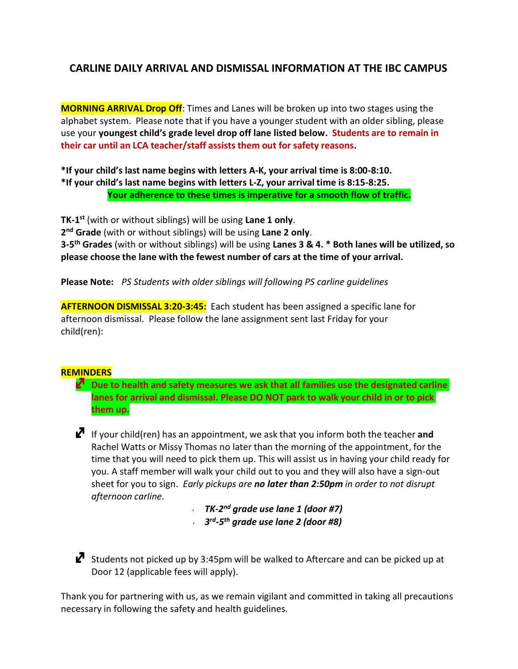## **CARLINE DAILY ARRIVAL AND DISMISSAL INFORMATION AT THE IBC CAMPUS**

**MORNING ARRIVAL Drop Off**: Times and Lanes will be broken up into two stages using the alphabet system. Please note that if you have a younger student with an older sibling, please use your **youngest child's grade level drop off lane listed below. Students are to remain in their car until an LCA teacher/staff assists them out for safety reasons.**

**\*If your child's last name begins with letters A-K, your arrival time is 8:00-8:10. \*If your child's last name begins with letters L-Z, your arrival time is 8:15-8:25. Your adherence to these times is imperative for a smooth flow of traffic.**

**TK-1 st** (with or without siblings) will be using **Lane 1 only**. **2 nd Grade** (with or without siblings) will be using **Lane 2 only**. **3-5 th Grades** (with or without siblings) will be using **Lanes 3 & 4. \* Both lanes will be utilized, so please choose the lane with the fewest number of cars at the time of your arrival.**

**Please Note:** *PS Students with older siblings will following PS carline guidelines*

**AFTERNOON DISMISSAL 3:20-3:45:** Each student has been assigned a specific lane for afternoon dismissal. Please follow the lane assignment sent last Friday for your child(ren):

## **REMINDERS**

 **Due to health and safety measures we ask that all families use the designated carline lanes for arrival and dismissal. Please DO NOT park to walk your child in or to pick them up.**

 If your child(ren) has an appointment, we ask that you inform both the teacher **and**  Rachel Watts or Missy Thomas no later than the morning of the appointment, for the time that you will need to pick them up. This will assist us in having your child ready for you. A staff member will walk your child out to you and they will also have a sign-out sheet for you to sign. *Early pickups are no later than 2:50pm in order to not disrupt afternoon carline.*

> *TK-2 nd grade use lane 1 (door #7) 3 rd -5 th grade use lane 2 (door #8)*

 $\mathbb Z$  Students not picked up by 3:45pm will be walked to Aftercare and can be picked up at Door 12 (applicable fees will apply).

Thank you for partnering with us, as we remain vigilant and committed in taking all precautions necessary in following the safety and health guidelines.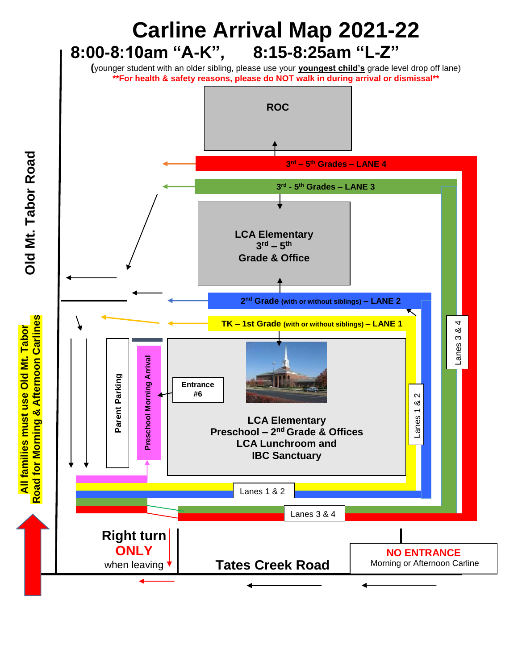